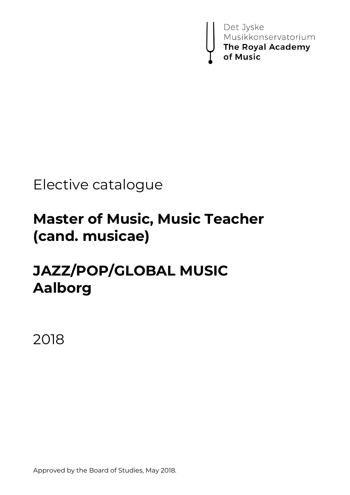

# Elective catalogue

# **Master of Music, Music Teacher (cand. musicae)**

# **JAZZ/POP/GLOBAL MUSIC Aalborg**

2018

Approved by the Board of Studies, May 2018.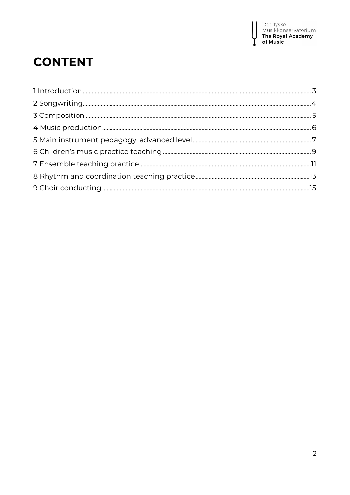## **CONTENT**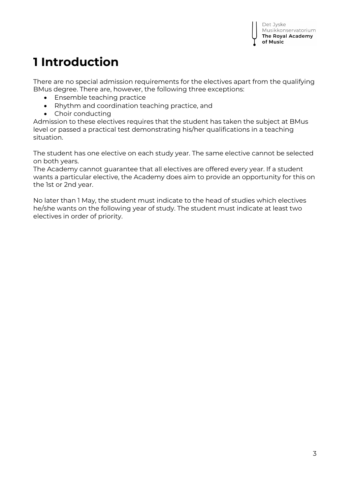## **1 Introduction**

There are no special admission requirements for the electives apart from the qualifying BMus degree. There are, however, the following three exceptions:

- Ensemble teaching practice
- Rhythm and coordination teaching practice, and
- Choir conducting

Admission to these electives requires that the student has taken the subject at BMus level or passed a practical test demonstrating his/her qualifications in a teaching situation.

The student has one elective on each study year. The same elective cannot be selected on both years.

The Academy cannot guarantee that all electives are offered every year. If a student wants a particular elective, the Academy does aim to provide an opportunity for this on the 1st or 2nd year.

No later than 1 May, the student must indicate to the head of studies which electives he/she wants on the following year of study. The student must indicate at least two electives in order of priority.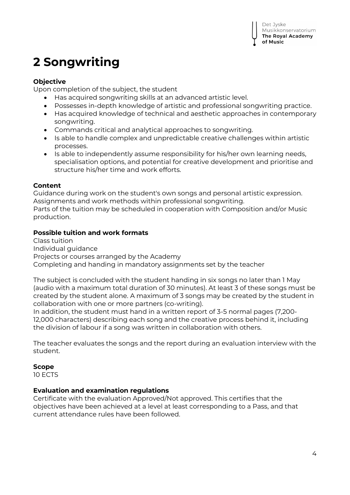## **2 Songwriting**

## **Objective**

Upon completion of the subject, the student

- Has acquired songwriting skills at an advanced artistic level.
- Possesses in-depth knowledge of artistic and professional songwriting practice.
- Has acquired knowledge of technical and aesthetic approaches in contemporary songwriting.
- Commands critical and analytical approaches to songwriting.
- Is able to handle complex and unpredictable creative challenges within artistic processes.
- Is able to independently assume responsibility for his/her own learning needs, specialisation options, and potential for creative development and prioritise and structure his/her time and work efforts.

## **Content**

Guidance during work on the student's own songs and personal artistic expression. Assignments and work methods within professional songwriting. Parts of the tuition may be scheduled in cooperation with Composition and/or Music production.

## **Possible tuition and work formats**

Class tuition Individual guidance Projects or courses arranged by the Academy Completing and handing in mandatory assignments set by the teacher

The subject is concluded with the student handing in six songs no later than 1 May (audio with a maximum total duration of 30 minutes). At least 3 of these songs must be created by the student alone. A maximum of 3 songs may be created by the student in collaboration with one or more partners (co-writing).

In addition, the student must hand in a written report of 3-5 normal pages (7,200- 12,000 characters) describing each song and the creative process behind it, including the division of labour if a song was written in collaboration with others.

The teacher evaluates the songs and the report during an evaluation interview with the student.

## **Scope**

10 ECTS

## **Evaluation and examination regulations**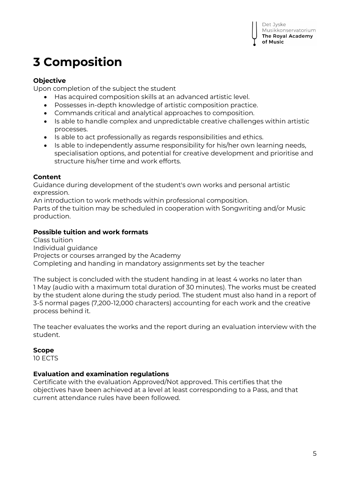## **3 Composition**

## **Objective**

Upon completion of the subject the student

- Has acquired composition skills at an advanced artistic level.
- Possesses in-depth knowledge of artistic composition practice.
- Commands critical and analytical approaches to composition.
- Is able to handle complex and unpredictable creative challenges within artistic processes.
- Is able to act professionally as regards responsibilities and ethics.
- Is able to independently assume responsibility for his/her own learning needs, specialisation options, and potential for creative development and prioritise and structure his/her time and work efforts.

#### **Content**

Guidance during development of the student's own works and personal artistic expression.

An introduction to work methods within professional composition.

Parts of the tuition may be scheduled in cooperation with Songwriting and/or Music production.

## **Possible tuition and work formats**

Class tuition Individual guidance Projects or courses arranged by the Academy Completing and handing in mandatory assignments set by the teacher

The subject is concluded with the student handing in at least 4 works no later than 1 May (audio with a maximum total duration of 30 minutes). The works must be created by the student alone during the study period. The student must also hand in a report of 3-5 normal pages (7,200-12,000 characters) accounting for each work and the creative process behind it.

The teacher evaluates the works and the report during an evaluation interview with the student.

## **Scope**

10 ECTS

## **Evaluation and examination regulations**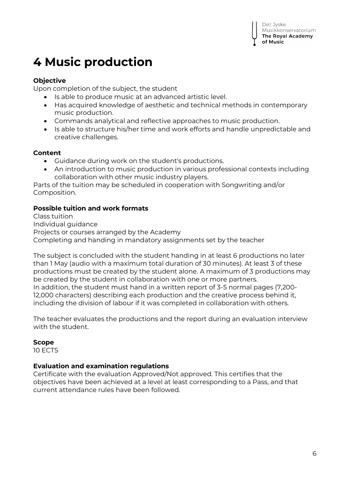## **4 Music production**

## **Objective**

Upon completion of the subject, the student

- Is able to produce music at an advanced artistic level.
- Has acquired knowledge of aesthetic and technical methods in contemporary music production.
- Commands analytical and reflective approaches to music production.
- Is able to structure his/her time and work efforts and handle unpredictable and creative challenges.

## **Content**

- Guidance during work on the student's productions.
- An introduction to music production in various professional contexts including collaboration with other music industry players.

Parts of the tuition may be scheduled in cooperation with Songwriting and/or Composition.

## **Possible tuition and work formats**

Class tuition Individual guidance Projects or courses arranged by the Academy Completing and handing in mandatory assignments set by the teacher

The subject is concluded with the student handing in at least 6 productions no later than 1 May (audio with a maximum total duration of 30 minutes). At least 3 of these productions must be created by the student alone. A maximum of 3 productions may be created by the student in collaboration with one or more partners.

In addition, the student must hand in a written report of 3-5 normal pages (7,200- 12,000 characters) describing each production and the creative process behind it, including the division of labour if it was completed in collaboration with others.

The teacher evaluates the productions and the report during an evaluation interview with the student.

## **Scope**

10 ECTS

## **Evaluation and examination regulations**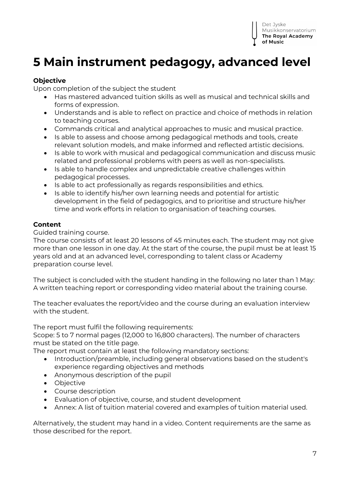

## **5 Main instrument pedagogy, advanced level**

## **Objective**

Upon completion of the subject the student

- Has mastered advanced tuition skills as well as musical and technical skills and forms of expression.
- Understands and is able to reflect on practice and choice of methods in relation to teaching courses.
- Commands critical and analytical approaches to music and musical practice.
- Is able to assess and choose among pedagogical methods and tools, create relevant solution models, and make informed and reflected artistic decisions.
- Is able to work with musical and pedagogical communication and discuss music related and professional problems with peers as well as non-specialists.
- Is able to handle complex and unpredictable creative challenges within pedagogical processes.
- Is able to act professionally as regards responsibilities and ethics.
- Is able to identify his/her own learning needs and potential for artistic development in the field of pedagogics, and to prioritise and structure his/her time and work efforts in relation to organisation of teaching courses.

#### **Content**

Guided training course.

The course consists of at least 20 lessons of 45 minutes each. The student may not give more than one lesson in one day. At the start of the course, the pupil must be at least 15 years old and at an advanced level, corresponding to talent class or Academy preparation course level.

The subject is concluded with the student handing in the following no later than 1 May: A written teaching report or corresponding video material about the training course.

The teacher evaluates the report/video and the course during an evaluation interview with the student.

The report must fulfil the following requirements:

Scope: 5 to 7 normal pages (12,000 to 16,800 characters). The number of characters must be stated on the title page.

The report must contain at least the following mandatory sections:

- Introduction/preamble, including general observations based on the student's experience regarding objectives and methods
- Anonymous description of the pupil
- Objective
- Course description
- Evaluation of objective, course, and student development
- Annex: A list of tuition material covered and examples of tuition material used.

Alternatively, the student may hand in a video. Content requirements are the same as those described for the report.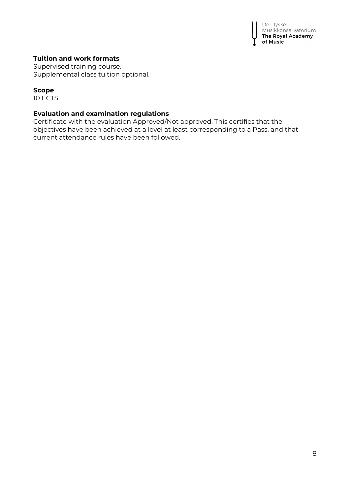

## **Tuition and work formats**

Supervised training course. Supplemental class tuition optional.

#### **Scope**

10 ECTS

## **Evaluation and examination regulations**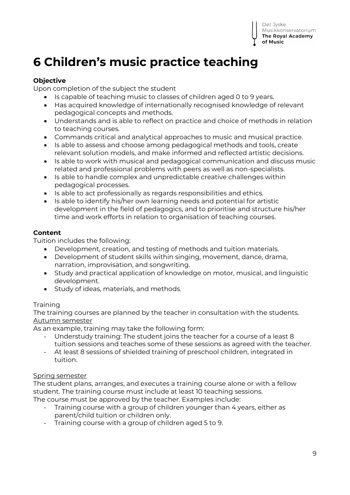## **6 Children's music practice teaching**

## **Objective**

Upon completion of the subject the student

- Is capable of teaching music to classes of children aged 0 to 9 years.
- Has acquired knowledge of internationally recognised knowledge of relevant pedagogical concepts and methods.
- Understands and is able to reflect on practice and choice of methods in relation to teaching courses.
- Commands critical and analytical approaches to music and musical practice.
- Is able to assess and choose among pedagogical methods and tools, create relevant solution models, and make informed and reflected artistic decisions.
- Is able to work with musical and pedagogical communication and discuss music related and professional problems with peers as well as non-specialists.
- Is able to handle complex and unpredictable creative challenges within pedagogical processes.
- Is able to act professionally as regards responsibilities and ethics.
- Is able to identify his/her own learning needs and potential for artistic development in the field of pedagogics, and to prioritise and structure his/her time and work efforts in relation to organisation of teaching courses.

## **Content**

Tuition includes the following:

- Development, creation, and testing of methods and tuition materials.
- Development of student skills within singing, movement, dance, drama, narration, improvisation, and songwriting.
- Study and practical application of knowledge on motor, musical, and linguistic development.
- Study of ideas, materials, and methods.

## **Training**

The training courses are planned by the teacher in consultation with the students. Autumn semester

As an example, training may take the following form:

- Understudy training: The student joins the teacher for a course of a least 8 tuition sessions and teaches some of these sessions as agreed with the teacher.
- At least 8 sessions of shielded training of preschool children, integrated in tuition.

## Spring semester

The student plans, arranges, and executes a training course alone or with a fellow student. The training course must include at least 10 teaching sessions. The course must be approved by the teacher. Examples include:

- Training course with a group of children younger than 4 years, either as parent/child tuition or children only.
- Training course with a group of children aged 5 to 9.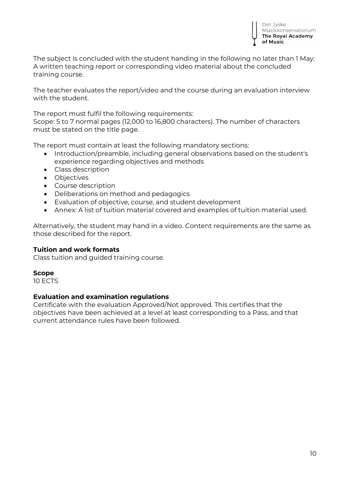

The subject is concluded with the student handing in the following no later than 1 May: A written teaching report or corresponding video material about the concluded training course.

The teacher evaluates the report/video and the course during an evaluation interview with the student.

The report must fulfil the following requirements:

Scope: 5 to 7 normal pages (12,000 to 16,800 characters). The number of characters must be stated on the title page.

The report must contain at least the following mandatory sections:

- Introduction/preamble, including general observations based on the student's experience regarding objectives and methods
- Class description
- Objectives
- Course description
- Deliberations on method and pedagogics
- Evaluation of objective, course, and student development
- Annex: A list of tuition material covered and examples of tuition material used.

Alternatively, the student may hand in a video. Content requirements are the same as those described for the report.

#### **Tuition and work formats**

Class tuition and guided training course.

#### **Scope**

10 ECTS

#### **Evaluation and examination regulations**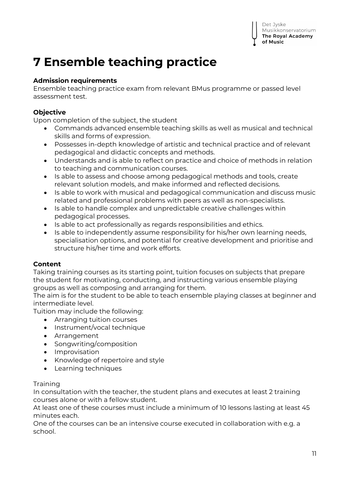## **7 Ensemble teaching practice**

## **Admission requirements**

Ensemble teaching practice exam from relevant BMus programme or passed level assessment test.

## **Objective**

Upon completion of the subject, the student

- Commands advanced ensemble teaching skills as well as musical and technical skills and forms of expression.
- Possesses in-depth knowledge of artistic and technical practice and of relevant pedagogical and didactic concepts and methods.
- Understands and is able to reflect on practice and choice of methods in relation to teaching and communication courses.
- Is able to assess and choose among pedagogical methods and tools, create relevant solution models, and make informed and reflected decisions.
- Is able to work with musical and pedagogical communication and discuss music related and professional problems with peers as well as non-specialists.
- Is able to handle complex and unpredictable creative challenges within pedagogical processes.
- Is able to act professionally as regards responsibilities and ethics.
- Is able to independently assume responsibility for his/her own learning needs, specialisation options, and potential for creative development and prioritise and structure his/her time and work efforts.

## **Content**

Taking training courses as its starting point, tuition focuses on subjects that prepare the student for motivating, conducting, and instructing various ensemble playing groups as well as composing and arranging for them.

The aim is for the student to be able to teach ensemble playing classes at beginner and intermediate level.

Tuition may include the following:

- Arranging tuition courses
- Instrument/vocal technique
- Arrangement
- Songwriting/composition
- Improvisation
- Knowledge of repertoire and style
- Learning techniques

## **Training**

In consultation with the teacher, the student plans and executes at least 2 training courses alone or with a fellow student.

At least one of these courses must include a minimum of 10 lessons lasting at least 45 minutes each.

One of the courses can be an intensive course executed in collaboration with e.g. a school.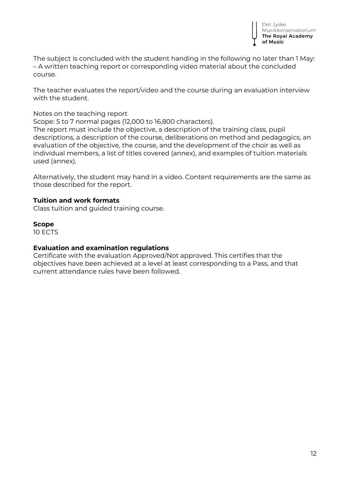The subject is concluded with the student handing in the following no later than 1 May: – A written teaching report or corresponding video material about the concluded course.

The teacher evaluates the report/video and the course during an evaluation interview with the student.

Notes on the teaching report

Scope: 5 to 7 normal pages (12,000 to 16,800 characters).

The report must include the objective, a description of the training class, pupil descriptions, a description of the course, deliberations on method and pedagogics, an evaluation of the objective, the course, and the development of the choir as well as individual members, a list of titles covered (annex), and examples of tuition materials used (annex).

Alternatively, the student may hand in a video. Content requirements are the same as those described for the report.

#### **Tuition and work formats**

Class tuition and guided training course.

#### **Scope**

10 ECTS

#### **Evaluation and examination regulations**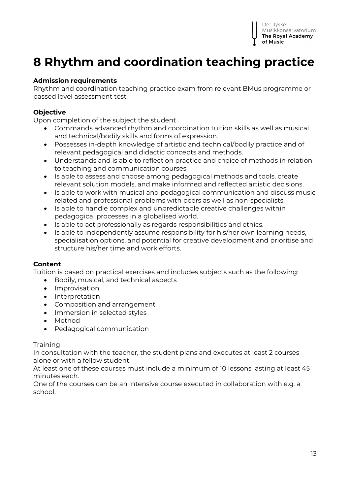## **8 Rhythm and coordination teaching practice**

## **Admission requirements**

Rhythm and coordination teaching practice exam from relevant BMus programme or passed level assessment test.

## **Objective**

Upon completion of the subject the student

- Commands advanced rhythm and coordination tuition skills as well as musical and technical/bodily skills and forms of expression.
- Possesses in-depth knowledge of artistic and technical/bodily practice and of relevant pedagogical and didactic concepts and methods.
- Understands and is able to reflect on practice and choice of methods in relation to teaching and communication courses.
- Is able to assess and choose among pedagogical methods and tools, create relevant solution models, and make informed and reflected artistic decisions.
- Is able to work with musical and pedagogical communication and discuss music related and professional problems with peers as well as non-specialists.
- Is able to handle complex and unpredictable creative challenges within pedagogical processes in a globalised world.
- Is able to act professionally as regards responsibilities and ethics.
- Is able to independently assume responsibility for his/her own learning needs, specialisation options, and potential for creative development and prioritise and structure his/her time and work efforts.

## **Content**

Tuition is based on practical exercises and includes subjects such as the following:

- Bodily, musical, and technical aspects
- **•** Improvisation
- Interpretation
- Composition and arrangement
- Immersion in selected styles
- Method
- Pedagogical communication

#### **Training**

In consultation with the teacher, the student plans and executes at least 2 courses alone or with a fellow student.

At least one of these courses must include a minimum of 10 lessons lasting at least 45 minutes each.

One of the courses can be an intensive course executed in collaboration with e.g. a school.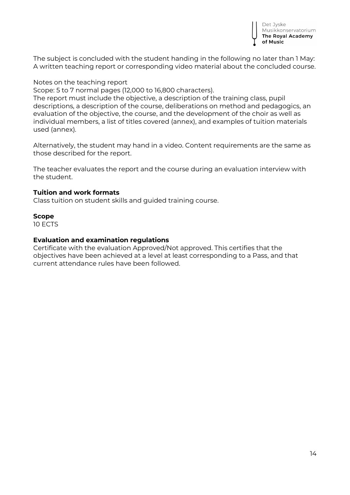

The subject is concluded with the student handing in the following no later than 1 May: A written teaching report or corresponding video material about the concluded course.

#### Notes on the teaching report

Scope: 5 to 7 normal pages (12,000 to 16,800 characters).

The report must include the objective, a description of the training class, pupil descriptions, a description of the course, deliberations on method and pedagogics, an evaluation of the objective, the course, and the development of the choir as well as individual members, a list of titles covered (annex), and examples of tuition materials used (annex).

Alternatively, the student may hand in a video. Content requirements are the same as those described for the report.

The teacher evaluates the report and the course during an evaluation interview with the student.

#### **Tuition and work formats**

Class tuition on student skills and guided training course.

#### **Scope**

10 ECTS

#### **Evaluation and examination regulations**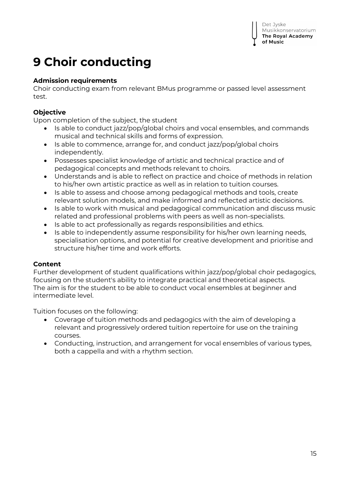## **9 Choir conducting**

## **Admission requirements**

Choir conducting exam from relevant BMus programme or passed level assessment test.

## **Objective**

Upon completion of the subject, the student

- Is able to conduct jazz/pop/global choirs and vocal ensembles, and commands musical and technical skills and forms of expression.
- Is able to commence, arrange for, and conduct jazz/pop/global choirs independently.
- Possesses specialist knowledge of artistic and technical practice and of pedagogical concepts and methods relevant to choirs.
- Understands and is able to reflect on practice and choice of methods in relation to his/her own artistic practice as well as in relation to tuition courses.
- Is able to assess and choose among pedagogical methods and tools, create relevant solution models, and make informed and reflected artistic decisions.
- Is able to work with musical and pedagogical communication and discuss music related and professional problems with peers as well as non-specialists.
- Is able to act professionally as regards responsibilities and ethics.
- Is able to independently assume responsibility for his/her own learning needs, specialisation options, and potential for creative development and prioritise and structure his/her time and work efforts.

## **Content**

Further development of student qualifications within jazz/pop/global choir pedagogics, focusing on the student's ability to integrate practical and theoretical aspects. The aim is for the student to be able to conduct vocal ensembles at beginner and intermediate level.

Tuition focuses on the following:

- Coverage of tuition methods and pedagogics with the aim of developing a relevant and progressively ordered tuition repertoire for use on the training courses.
- Conducting, instruction, and arrangement for vocal ensembles of various types, both a cappella and with a rhythm section.